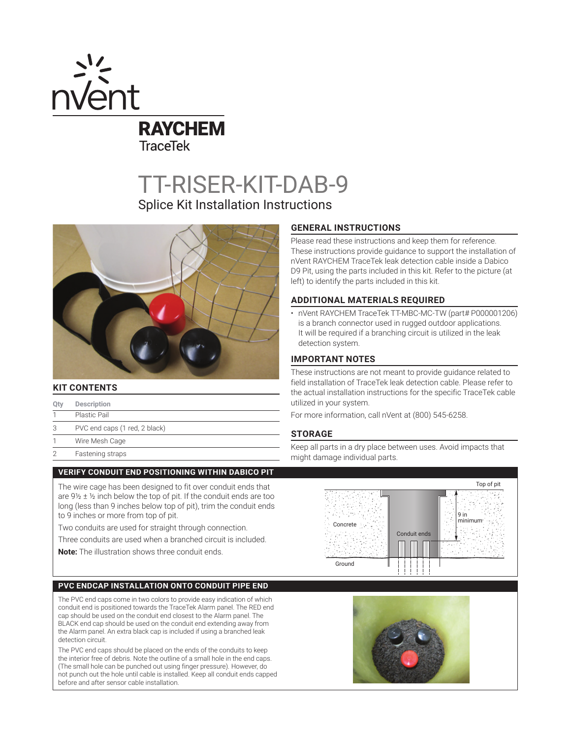

TT-RISER-KIT-DAB-9

Splice Kit Installation Instructions



# **KIT CONTENTS**

- **Qty Description**
- 1 Plastic Pail
- 3 PVC end caps (1 red, 2 black)
- 1 Wire Mesh Cage
- 2 Fastening straps

### **VERIFY CONDUIT END POSITIONING WITHIN DABICO PIT**

The wire cage has been designed to fit over conduit ends that are  $9\frac{1}{2} \pm \frac{1}{2}$  inch below the top of pit. If the conduit ends are too long (less than 9 inches below top of pit), trim the conduit ends to 9 inches or more from top of pit.

Two conduits are used for straight through connection.

Three conduits are used when a branched circuit is included.

**Note:** The illustration shows three conduit ends.

### **PVC ENDCAP INSTALLATION ONTO CONDUIT PIPE END**

The PVC end caps come in two colors to provide easy indication of which conduit end is positioned towards the TraceTek Alarm panel. The RED end cap should be used on the conduit end closest to the Alarm panel. The BLACK end cap should be used on the conduit end extending away from the Alarm panel. An extra black cap is included if using a branched leak detection circuit.

The PVC end caps should be placed on the ends of the conduits to keep the interior free of debris. Note the outline of a small hole in the end caps. (The small hole can be punched out using finger pressure). However, do not punch out the hole until cable is installed. Keep all conduit ends capped before and after sensor cable installation.

## **GENERAL INSTRUCTIONS**

Please read these instructions and keep them for reference. These instructions provide guidance to support the installation of nVent RAYCHEM TraceTek leak detection cable inside a Dabico D9 Pit, using the parts included in this kit. Refer to the picture (at left) to identify the parts included in this kit.

### **ADDITIONAL MATERIALS REQUIRED**

• nVent RAYCHEM TraceTek TT-MBC-MC-TW (part# P000001206) is a branch connector used in rugged outdoor applications. It will be required if a branching circuit is utilized in the leak detection system.

# **IMPORTANT NOTES**

These instructions are not meant to provide guidance related to field installation of TraceTek leak detection cable. Please refer to the actual installation instructions for the specific TraceTek cable utilized in your system.

For more information, call nVent at (800) 545-6258.

### **STORAGE**

Keep all parts in a dry place between uses. Avoid impacts that might damage individual parts.



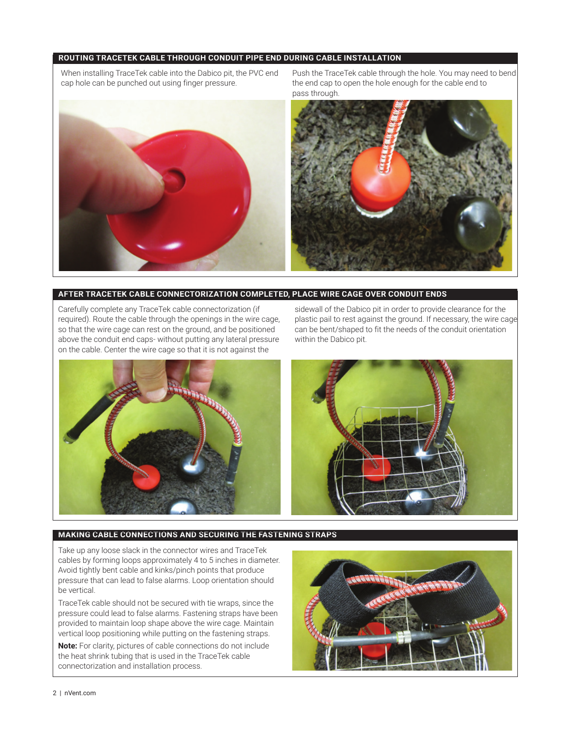# **ROUTING TRACETEK CABLE THROUGH CONDUIT PIPE END DURING CABLE INSTALLATION**

When installing TraceTek cable into the Dabico pit, the PVC end cap hole can be punched out using finger pressure.

Push the TraceTek cable through the hole. You may need to bend the end cap to open the hole enough for the cable end to pass through.



### **AFTER TRACETEK CABLE CONNECTORIZATION COMPLETED, PLACE WIRE CAGE OVER CONDUIT ENDS**

Carefully complete any TraceTek cable connectorization (if required). Route the cable through the openings in the wire cage, so that the wire cage can rest on the ground, and be positioned above the conduit end caps- without putting any lateral pressure on the cable. Center the wire cage so that it is not against the

sidewall of the Dabico pit in order to provide clearance for the plastic pail to rest against the ground. If necessary, the wire cage can be bent/shaped to fit the needs of the conduit orientation within the Dabico pit.



### **MAKING CABLE CONNECTIONS AND SECURING THE FASTENING STRAPS**

Take up any loose slack in the connector wires and TraceTek cables by forming loops approximately 4 to 5 inches in diameter. Avoid tightly bent cable and kinks/pinch points that produce pressure that can lead to false alarms. Loop orientation should be vertical.

TraceTek cable should not be secured with tie wraps, since the pressure could lead to false alarms. Fastening straps have been provided to maintain loop shape above the wire cage. Maintain vertical loop positioning while putting on the fastening straps.

**Note:** For clarity, pictures of cable connections do not include the heat shrink tubing that is used in the TraceTek cable connectorization and installation process.

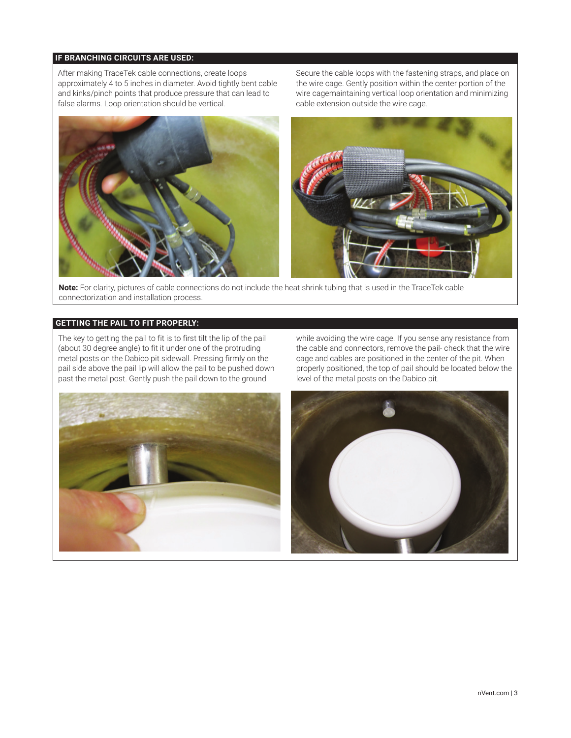# **IF BRANCHING CIRCUITS ARE USED:**

After making TraceTek cable connections, create loops approximately 4 to 5 inches in diameter. Avoid tightly bent cable and kinks/pinch points that produce pressure that can lead to false alarms. Loop orientation should be vertical.

Secure the cable loops with the fastening straps, and place on the wire cage. Gently position within the center portion of the wire cagemaintaining vertical loop orientation and minimizing cable extension outside the wire cage.



**Note:** For clarity, pictures of cable connections do not include the heat shrink tubing that is used in the TraceTek cable connectorization and installation process.

# **GETTING THE PAIL TO FIT PROPERLY:**

The key to getting the pail to fit is to first tilt the lip of the pail (about 30 degree angle) to fit it under one of the protruding metal posts on the Dabico pit sidewall. Pressing firmly on the pail side above the pail lip will allow the pail to be pushed down past the metal post. Gently push the pail down to the ground

while avoiding the wire cage. If you sense any resistance from the cable and connectors, remove the pail- check that the wire cage and cables are positioned in the center of the pit. When properly positioned, the top of pail should be located below the level of the metal posts on the Dabico pit.